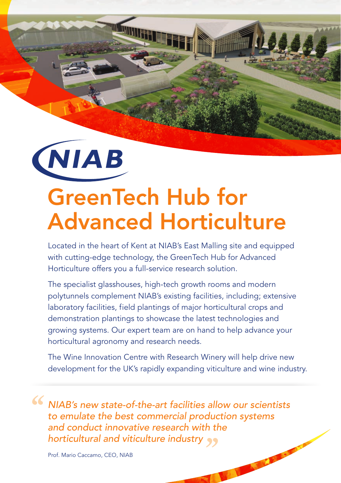

# GreenTech Hub for Advanced Horticulture

**KANNINGSI** 

Located in the heart of Kent at NIAB's East Malling site and equipped with cutting-edge technology, the GreenTech Hub for Advanced Horticulture offers you a full-service research solution.

The specialist glasshouses, high-tech growth rooms and modern polytunnels complement NIAB's existing facilities, including; extensive laboratory facilities, field plantings of major horticultural crops and demonstration plantings to showcase the latest technologies and growing systems. Our expert team are on hand to help advance your horticultural agronomy and research needs.

The Wine Innovation Centre with Research Winery will help drive new development for the UK's rapidly expanding viticulture and wine industry.

**CONTRACTOR** 

*NIAB's new state-of-the-art facilities allow our scientists to emulate the best commercial production systems and conduct innovative research with the horticultural and viticulture industry* ''''

Prof. Mario Caccamo, CEO, NIAB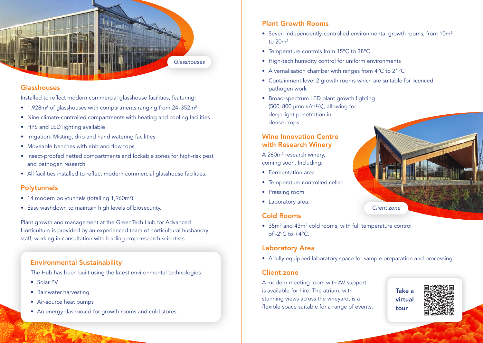

#### Glasshouses

Installed to reflect modern commercial glasshouse facilities, featuring:

- 1,928m² of glasshouses with compartments ranging from 24-352m²
- Nine climate-controlled compartments with heating and cooling facilities
- HPS and LED lighting available
- Irrigation: Misting, drip and hand watering facilities
- Moveable benches with ebb and flow tops
- Insect-proofed netted compartments and lockable zones for high-risk pest and pathogen research
- All facilities installed to reflect modern commercial glasshouse facilities.

## Polytunnels

- 14 modern polytunnels (totalling 1,960m<sup>2</sup>)
- Easy washdown to maintain high levels of biosecurity.

Plant growth and management at the GreenTech Hub for Advanced Horticulture is provided by an experienced team of horticultural husbandry staff, working in consultation with leading crop research scientists.

## Environmental Sustainability

The Hub has been built using the latest environmental technologies:

- Solar PV
- Rainwater harvesting
- Air-source heat pumps
- An energy dashboard for growth rooms and cold stores.

# Plant Growth Rooms

- Seven independently-controlled environmental growth rooms, from 10m<sup>2</sup> to 20m²
- Temperature controls from 15°C to 38°C
- High-tech humidity control for uniform environments
- A vernalisation chamber with ranges from 4°C to 21°C
- Containment level 2 growth rooms which are suitable for licenced pathogen work
- Broad-spectrum LED plant growth lighting (500-800 µmols/m²/s), allowing for deep light penetration in dense crops.

#### Wine Innovation Centre with Research Winery

A 260m² research winery, coming soon. Including:

- Fermentation area
- Temperature controlled cellar
- Pressing room
- Laboratory area.

## Cold Rooms

• 35m² and 43m² cold rooms, with full temperature control of  $-2$ <sup>o</sup>C to  $+4$ <sup>o</sup>C.

## Laboratory Area

• A fully equipped laboratory space for sample preparation and processing.

## Client zone

A modern meeting room with AV support is available for hire. The atrium, with stunning views across the vineyard, is a flexible space suitable for a range of events.